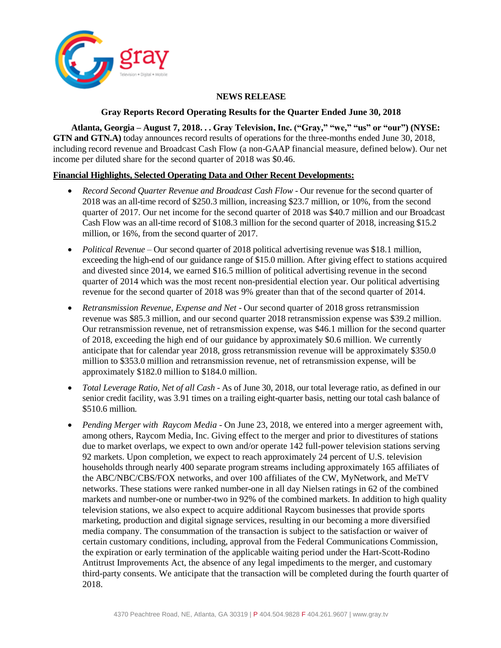

## **NEWS RELEASE**

### **Gray Reports Record Operating Results for the Quarter Ended June 30, 2018**

**Atlanta, Georgia – August 7, 2018. . . Gray Television, Inc. ("Gray," "we," "us" or "our") (NYSE: GTN and GTN.A)** today announces record results of operations for the three-months ended June 30, 2018, including record revenue and Broadcast Cash Flow (a non-GAAP financial measure, defined below). Our net income per diluted share for the second quarter of 2018 was \$0.46.

## **Financial Highlights, Selected Operating Data and Other Recent Developments:**

- *Record Second Quarter Revenue and Broadcast Cash Flow* Our revenue for the second quarter of 2018 was an all-time record of \$250.3 million, increasing \$23.7 million, or 10%, from the second quarter of 2017. Our net income for the second quarter of 2018 was \$40.7 million and our Broadcast Cash Flow was an all-time record of \$108.3 million for the second quarter of 2018, increasing \$15.2 million, or 16%, from the second quarter of 2017.
- *Political Revenue* Our second quarter of 2018 political advertising revenue was \$18.1 million, exceeding the high-end of our guidance range of \$15.0 million. After giving effect to stations acquired and divested since 2014, we earned \$16.5 million of political advertising revenue in the second quarter of 2014 which was the most recent non-presidential election year. Our political advertising revenue for the second quarter of 2018 was 9% greater than that of the second quarter of 2014.
- *Retransmission Revenue, Expense and Net*  Our second quarter of 2018 gross retransmission revenue was \$85.3 million, and our second quarter 2018 retransmission expense was \$39.2 million. Our retransmission revenue, net of retransmission expense, was \$46.1 million for the second quarter of 2018, exceeding the high end of our guidance by approximately \$0.6 million. We currently anticipate that for calendar year 2018, gross retransmission revenue will be approximately \$350.0 million to \$353.0 million and retransmission revenue, net of retransmission expense, will be approximately \$182.0 million to \$184.0 million.
- *Total Leverage Ratio, Net of all Cash* As of June 30, 2018, our total leverage ratio, as defined in our senior credit facility, was 3.91 times on a trailing eight-quarter basis, netting our total cash balance of \$510.6 million*.*
- *Pending Merger with Raycom Media* On June 23, 2018, we entered into a merger agreement with, among others, Raycom Media, Inc. Giving effect to the merger and prior to divestitures of stations due to market overlaps, we expect to own and/or operate 142 full-power television stations serving 92 markets. Upon completion, we expect to reach approximately 24 percent of U.S. television households through nearly 400 separate program streams including approximately 165 affiliates of the ABC/NBC/CBS/FOX networks, and over 100 affiliates of the CW, MyNetwork, and MeTV networks. These stations were ranked number-one in all day Nielsen ratings in 62 of the combined markets and number-one or number-two in 92% of the combined markets. In addition to high quality television stations, we also expect to acquire additional Raycom businesses that provide sports marketing, production and digital signage services, resulting in our becoming a more diversified media company. The consummation of the transaction is subject to the satisfaction or waiver of certain customary conditions, including, approval from the Federal Communications Commission, the expiration or early termination of the applicable waiting period under the Hart-Scott-Rodino Antitrust Improvements Act, the absence of any legal impediments to the merger, and customary third-party consents. We anticipate that the transaction will be completed during the fourth quarter of 2018.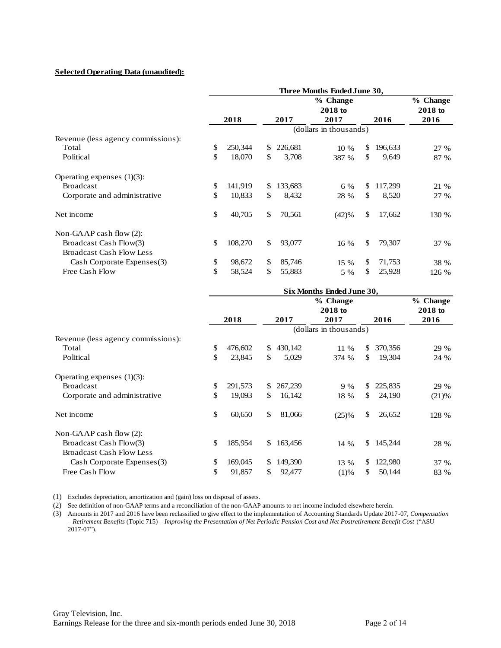## **Selected Operating Data (unaudited):**

| <b>Selected Operating Data (unaudited):</b> |    |         |              |         |                             |     |         |                     |
|---------------------------------------------|----|---------|--------------|---------|-----------------------------|-----|---------|---------------------|
|                                             |    |         |              |         | Three Months Ended June 30, |     |         |                     |
|                                             |    |         |              |         | % Change<br>2018 to         |     |         | % Change<br>2018 to |
|                                             |    | 2018    |              | 2017    | 2017                        |     | 2016    | 2016                |
|                                             |    |         |              |         | (dollars in thousands)      |     |         |                     |
| Revenue (less agency commissions):          |    |         |              |         |                             |     |         |                     |
| Total                                       | \$ | 250,344 | \$           | 226,681 | 10 %                        | \$. | 196,633 | 27 %                |
| Political                                   | \$ | 18,070  | \$           | 3,708   | 387 %                       | \$  | 9,649   | 87 %                |
| Operating expenses $(1)(3)$ :               |    |         |              |         |                             |     |         |                     |
| <b>Broadcast</b>                            | \$ | 141,919 | $\mathbb{S}$ | 133,683 | 6 %                         | \$  | 117,299 | 21 %                |
| Corporate and administrative                | \$ | 10,833  | \$           | 8,432   | 28 %                        | \$  | 8,520   | 27 %                |
| Net income                                  | \$ | 40,705  | \$           | 70,561  | (42)%                       | \$  | 17,662  | 130 %               |
| Non-GAAP cash flow $(2)$ :                  |    |         |              |         |                             |     |         |                     |
| Broadcast Cash Flow(3)                      | \$ | 108,270 | \$           | 93,077  | 16 %                        | \$  | 79,307  | 37 %                |
| <b>Broadcast Cash Flow Less</b>             |    |         |              |         |                             |     |         |                     |
| Cash Corporate Expenses(3)                  | \$ | 98,672  | $\mathbb{S}$ | 85,746  | 15 %                        | \$. | 71,753  | 38 %                |
| Free Cash Flow                              | \$ | 58,524  | \$           | 55,883  | 5 %                         | \$  | 25,928  | 126 %               |

| Cash Corporate Expenses(3)         | \$<br>98,672  | S  | 85,746  | 15 %                      | S   | 71,753  | 38 %     |
|------------------------------------|---------------|----|---------|---------------------------|-----|---------|----------|
| Free Cash Flow                     | \$<br>58,524  | \$ | 55,883  | 5 %                       | \$  | 25,928  | 126 %    |
|                                    |               |    |         | Six Months Ended June 30, |     |         |          |
|                                    |               |    |         | % Change                  |     |         | % Change |
|                                    |               |    |         | 2018 to                   |     |         | 2018 to  |
|                                    | 2018          |    | 2017    | 2017                      |     | 2016    | 2016     |
|                                    |               |    |         | (dollars in thousands)    |     |         |          |
| Revenue (less agency commissions): |               |    |         |                           |     |         |          |
| Total                              | \$<br>476,602 | \$ | 430,142 | $11\%$                    | S   | 370,356 | 29 %     |
| Political                          | \$<br>23,845  | \$ | 5,029   | 374 %                     | \$. | 19,304  | 24 %     |
| Operating expenses $(1)(3)$ :      |               |    |         |                           |     |         |          |
| <b>Broadcast</b>                   | \$<br>291,573 | \$ | 267,239 | 9%                        | \$  | 225,835 | 29 %     |
| Corporate and administrative       | \$<br>19,093  | \$ | 16,142  | 18 %                      | S.  | 24,190  | (21)%    |
| Net income                         | \$<br>60,650  | \$ | 81,066  | (25)%                     | \$  | 26,652  | 128 %    |
| Non-GAAP cash flow $(2)$ :         |               |    |         |                           |     |         |          |
| Broadcast Cash Flow(3)             | \$<br>185,954 | \$ | 163,456 | 14 %                      | \$  | 145,244 | 28 %     |
| <b>Broadcast Cash Flow Less</b>    |               |    |         |                           |     |         |          |
| Cash Corporate Expenses(3)         | \$<br>169,045 | S  | 149,390 | 13 %                      | \$. | 122,980 | 37 %     |
| Free Cash Flow                     | \$<br>91,857  | \$ | 92,477  | (1)%                      | \$  | 50,144  | 83 %     |
|                                    |               |    |         |                           |     |         |          |

(1) Excludes depreciation, amortization and (gain) loss on disposal of assets.

(2) See definition of non-GAAP terms and a reconciliation of the non-GAAP amounts to net income included elsewhere herein.

(3) Amounts in 2017 and 2016 have been reclassified to give effect to the implementation of Accounting Standards Update 2017-07, *Compensation – Retirement Benefits* (Topic 715) – *Improving the Presentation of Net Periodic Pension Cost and Net Postretirement Benefit Cost* ("ASU 2017-07").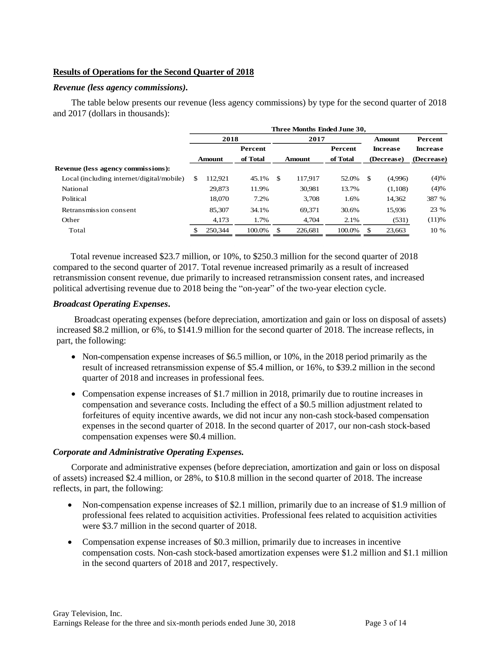## **Results of Operations for the Second Quarter of 2018**

### *Revenue (less agency commissions).*

The table below presents our revenue (less agency commissions) by type for the second quarter of 2018 and 2017 (dollars in thousands):

|                                           | Three Months Ended June 30, |         |          |     |         |                |     |                 |                 |  |
|-------------------------------------------|-----------------------------|---------|----------|-----|---------|----------------|-----|-----------------|-----------------|--|
|                                           |                             | 2018    |          |     | 2017    |                |     | <b>Amount</b>   | Percent         |  |
|                                           |                             |         | Percent  |     |         | <b>Percent</b> |     | <b>Increase</b> | <b>Increase</b> |  |
|                                           |                             | Amount  | of Total |     | Amount  | of Total       |     | (Decrease)      | (Decrease)      |  |
| <b>Revenue (less agency commissions):</b> |                             |         |          |     |         |                |     |                 |                 |  |
| Local (including internet/digital/mobile) | \$                          | 112.921 | 45.1%    | -\$ | 117.917 | 52.0%          | -\$ | (4,996)         | (4)%            |  |
| National                                  |                             | 29,873  | 11.9%    |     | 30,981  | 13.7%          |     | (1,108)         | (4)%            |  |
| Political                                 |                             | 18,070  | 7.2%     |     | 3.708   | 1.6%           |     | 14,362          | 387 %           |  |
| Retransmission consent                    |                             | 85,307  | 34.1%    |     | 69.371  | 30.6%          |     | 15.936          | 23 %            |  |
| Other                                     |                             | 4,173   | 1.7%     |     | 4,704   | 2.1%           |     | (531)           | (11)%           |  |
| Total                                     |                             | 250,344 | 100.0%   | \$  | 226,681 | 100.0%         | \$  | 23,663          | 10 %            |  |

Total revenue increased \$23.7 million, or 10%, to \$250.3 million for the second quarter of 2018 compared to the second quarter of 2017. Total revenue increased primarily as a result of increased retransmission consent revenue, due primarily to increased retransmission consent rates, and increased political advertising revenue due to 2018 being the "on-year" of the two-year election cycle.

## *Broadcast Operating Expenses***.**

Broadcast operating expenses (before depreciation, amortization and gain or loss on disposal of assets) increased \$8.2 million, or 6%, to \$141.9 million for the second quarter of 2018. The increase reflects, in part, the following:

- Non-compensation expense increases of \$6.5 million, or  $10\%$ , in the 2018 period primarily as the result of increased retransmission expense of \$5.4 million, or 16%, to \$39.2 million in the second quarter of 2018 and increases in professional fees.
- Compensation expense increases of \$1.7 million in 2018, primarily due to routine increases in compensation and severance costs. Including the effect of a \$0.5 million adjustment related to forfeitures of equity incentive awards, we did not incur any non-cash stock-based compensation expenses in the second quarter of 2018. In the second quarter of 2017, our non-cash stock-based compensation expenses were \$0.4 million.

## *Corporate and Administrative Operating Expenses.*

Corporate and administrative expenses (before depreciation, amortization and gain or loss on disposal of assets) increased \$2.4 million, or 28%, to \$10.8 million in the second quarter of 2018. The increase reflects, in part, the following:

- Non-compensation expense increases of \$2.1 million, primarily due to an increase of \$1.9 million of professional fees related to acquisition activities. Professional fees related to acquisition activities were \$3.7 million in the second quarter of 2018.
- Compensation expense increases of \$0.3 million, primarily due to increases in incentive compensation costs. Non-cash stock-based amortization expenses were \$1.2 million and \$1.1 million in the second quarters of 2018 and 2017, respectively.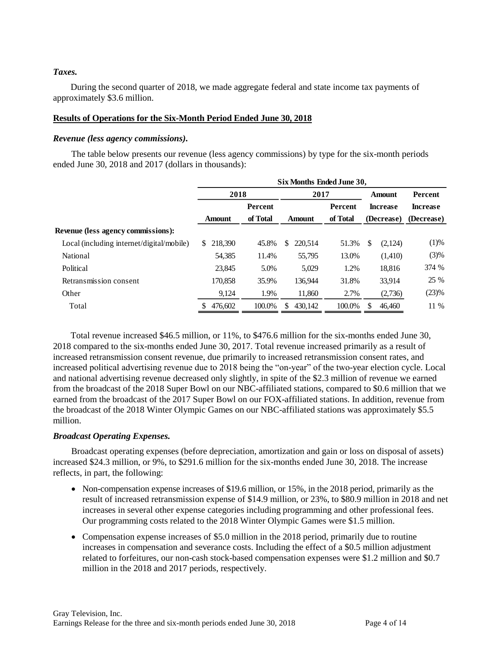## *Taxes.*

During the second quarter of 2018, we made aggregate federal and state income tax payments of approximately \$3.6 million.

### **Results of Operations for the Six-Month Period Ended June 30, 2018**

### *Revenue (less agency commissions).*

The table below presents our revenue (less agency commissions) by type for the six-month periods ended June 30, 2018 and 2017 (dollars in thousands):

|                                           | Six Months Ended June 30, |          |               |          |                 |                 |  |  |  |
|-------------------------------------------|---------------------------|----------|---------------|----------|-----------------|-----------------|--|--|--|
|                                           | 2018                      |          | 2017          |          | <b>Amount</b>   | <b>Percent</b>  |  |  |  |
|                                           | <b>Percent</b>            |          |               | Percent  | <b>Increase</b> | <b>Increase</b> |  |  |  |
|                                           | <b>Amount</b>             | of Total | <b>Amount</b> | of Total | (Decrease)      | (Decrease)      |  |  |  |
| <b>Revenue (less agency commissions):</b> |                           |          |               |          |                 |                 |  |  |  |
| Local (including internet/digital/mobile) | 218,390<br>S.             | 45.8%    | 220.514<br>\$ | 51.3%    | (2,124)<br>S    | (1)%            |  |  |  |
| <b>National</b>                           | 54,385                    | 11.4%    | 55,795        | 13.0%    | (1,410)         | (3)%            |  |  |  |
| Political                                 | 23,845                    | 5.0%     | 5,029         | 1.2%     | 18,816          | 374 %           |  |  |  |
| Retransmission consent                    | 170,858                   | 35.9%    | 136.944       | 31.8%    | 33.914          | 25 %            |  |  |  |
| Other                                     | 9,124                     | 1.9%     | 11,860        | 2.7%     | (2,736)         | (23)%           |  |  |  |
| Total                                     | 476,602<br>\$             | 100.0%   | 430,142       | 100.0%   | 46.460          | 11 %            |  |  |  |

Total revenue increased \$46.5 million, or 11%, to \$476.6 million for the six-months ended June 30, 2018 compared to the six-months ended June 30, 2017. Total revenue increased primarily as a result of increased retransmission consent revenue, due primarily to increased retransmission consent rates, and increased political advertising revenue due to 2018 being the "on-year" of the two-year election cycle. Local and national advertising revenue decreased only slightly, in spite of the \$2.3 million of revenue we earned from the broadcast of the 2018 Super Bowl on our NBC-affiliated stations, compared to \$0.6 million that we earned from the broadcast of the 2017 Super Bowl on our FOX-affiliated stations. In addition, revenue from the broadcast of the 2018 Winter Olympic Games on our NBC-affiliated stations was approximately \$5.5 million.

## *Broadcast Operating Expenses.*

Broadcast operating expenses (before depreciation, amortization and gain or loss on disposal of assets) increased \$24.3 million, or 9%, to \$291.6 million for the six-months ended June 30, 2018. The increase reflects, in part, the following:

- Non-compensation expense increases of \$19.6 million, or 15%, in the 2018 period, primarily as the result of increased retransmission expense of \$14.9 million, or 23%, to \$80.9 million in 2018 and net increases in several other expense categories including programming and other professional fees. Our programming costs related to the 2018 Winter Olympic Games were \$1.5 million.
- Compensation expense increases of \$5.0 million in the 2018 period, primarily due to routine increases in compensation and severance costs. Including the effect of a \$0.5 million adjustment related to forfeitures, our non-cash stock-based compensation expenses were \$1.2 million and \$0.7 million in the 2018 and 2017 periods, respectively.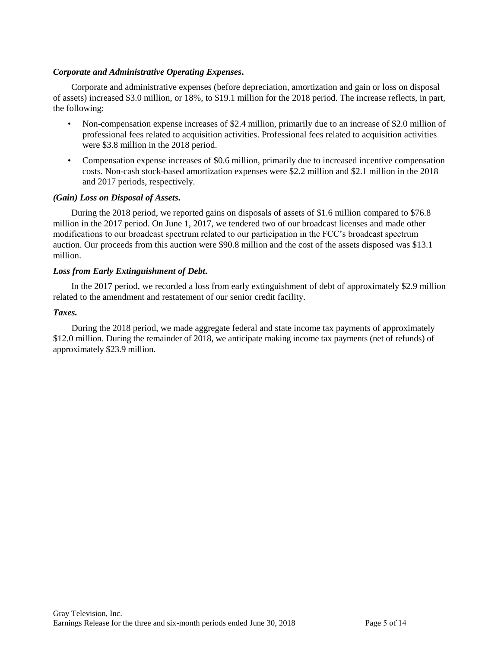## *Corporate and Administrative Operating Expenses***.**

Corporate and administrative expenses (before depreciation, amortization and gain or loss on disposal of assets) increased \$3.0 million, or 18%, to \$19.1 million for the 2018 period. The increase reflects, in part, the following:

- Non-compensation expense increases of \$2.4 million, primarily due to an increase of \$2.0 million of professional fees related to acquisition activities. Professional fees related to acquisition activities were \$3.8 million in the 2018 period.
- Compensation expense increases of \$0.6 million, primarily due to increased incentive compensation costs. Non-cash stock-based amortization expenses were \$2.2 million and \$2.1 million in the 2018 and 2017 periods, respectively.

## *(Gain) Loss on Disposal of Assets.*

During the 2018 period, we reported gains on disposals of assets of \$1.6 million compared to \$76.8 million in the 2017 period. On June 1, 2017, we tendered two of our broadcast licenses and made other modifications to our broadcast spectrum related to our participation in the FCC's broadcast spectrum auction. Our proceeds from this auction were \$90.8 million and the cost of the assets disposed was \$13.1 million.

## *Loss from Early Extinguishment of Debt.*

In the 2017 period, we recorded a loss from early extinguishment of debt of approximately \$2.9 million related to the amendment and restatement of our senior credit facility.

## *Taxes.*

During the 2018 period, we made aggregate federal and state income tax payments of approximately \$12.0 million. During the remainder of 2018, we anticipate making income tax payments (net of refunds) of approximately \$23.9 million.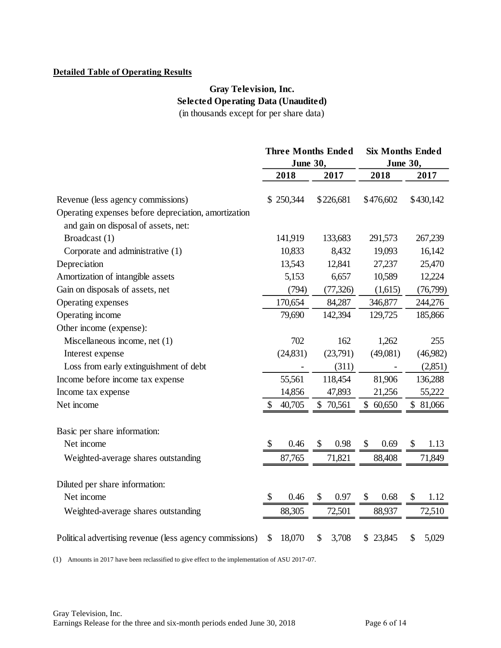## **Detailed Table of Operating Results**

# **Gray Television, Inc. Selected Operating Data (Unaudited)** (in thousands except for per share data)

|                                                         | <b>Three Months Ended</b> |                                   | <b>Six Months Ended</b> |             |  |  |
|---------------------------------------------------------|---------------------------|-----------------------------------|-------------------------|-------------|--|--|
|                                                         | June 30,                  |                                   | June 30,                |             |  |  |
|                                                         | 2018                      | 2017                              | 2018                    | 2017        |  |  |
|                                                         |                           |                                   |                         |             |  |  |
| Revenue (less agency commissions)                       | \$250,344                 | \$226,681                         | \$476,602               | \$430,142   |  |  |
| Operating expenses before depreciation, amortization    |                           |                                   |                         |             |  |  |
| and gain on disposal of assets, net:                    |                           |                                   |                         |             |  |  |
| Broadcast (1)                                           | 141,919                   | 133,683                           | 291,573                 | 267,239     |  |  |
| Corporate and administrative (1)                        | 10,833                    | 8,432                             | 19,093                  | 16,142      |  |  |
| Depreciation                                            | 13,543                    | 12,841                            | 27,237                  | 25,470      |  |  |
| Amortization of intangible assets                       | 5,153                     | 6,657                             | 10,589                  | 12,224      |  |  |
| Gain on disposals of assets, net                        | (794)                     | (77, 326)                         | (1,615)                 | (76,799)    |  |  |
| Operating expenses                                      | 170,654                   | 84,287                            | 346,877                 | 244,276     |  |  |
| Operating income                                        | 79,690                    | 142,394                           | 129,725                 | 185,866     |  |  |
| Other income (expense):                                 |                           |                                   |                         |             |  |  |
| Miscellaneous income, net (1)                           | 702                       | 162                               | 1,262                   | 255         |  |  |
| Interest expense                                        | (24, 831)                 | (23,791)                          | (49,081)                | (46,982)    |  |  |
| Loss from early extinguishment of debt                  |                           | (311)                             |                         | (2,851)     |  |  |
| Income before income tax expense                        | 55,561                    | 118,454                           | 81,906                  | 136,288     |  |  |
| Income tax expense                                      | 14,856                    | 47,893                            | 21,256                  | 55,222      |  |  |
| Net income                                              | 40,705                    | \$70,561                          | \$60,650                | \$ 81,066   |  |  |
| Basic per share information:                            |                           |                                   |                         |             |  |  |
| Net income                                              | \$<br>0.46                | \$<br>0.98                        | \$<br>0.69              | \$<br>1.13  |  |  |
| Weighted-average shares outstanding                     | 87,765                    | 71,821                            | 88,408                  | 71,849      |  |  |
| Diluted per share information:                          |                           |                                   |                         |             |  |  |
| Net income                                              | \$<br>0.46                | $\boldsymbol{\mathsf{S}}$<br>0.97 | \$<br>0.68              | \$<br>1.12  |  |  |
| Weighted-average shares outstanding                     | 88,305                    | 72,501                            | 88,937                  | 72,510      |  |  |
| Political advertising revenue (less agency commissions) | \$<br>18,070              | \$<br>3,708                       | 23,845<br>\$            | \$<br>5,029 |  |  |

(1) Amounts in 2017 have been reclassified to give effect to the implementation of ASU 2017-07.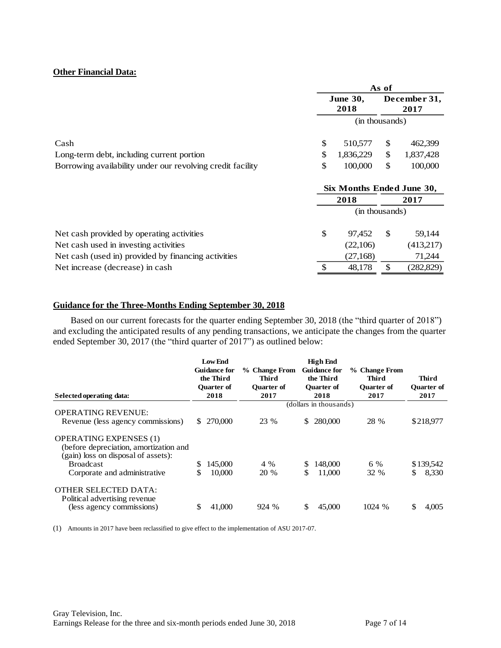## **Other Financial Data:**

|                                                            | As of                     |    |                      |  |
|------------------------------------------------------------|---------------------------|----|----------------------|--|
|                                                            | <b>June 30,</b><br>2018   |    | December 31,<br>2017 |  |
|                                                            | (in thousands)            |    |                      |  |
| Cash                                                       | \$<br>510,577             | \$ | 462,399              |  |
| Long-term debt, including current portion                  | \$<br>1,836,229           | \$ | 1,837,428            |  |
| Borrowing availability under our revolving credit facility | \$<br>100,000             | \$ | 100,000              |  |
|                                                            | Six Months Ended June 30, |    |                      |  |
|                                                            | 2018                      |    | 2017                 |  |
|                                                            | (in thousands)            |    |                      |  |
| Net cash provided by operating activities                  | \$<br>97,452              | \$ | 59,144               |  |
| Net cash used in investing activities                      | (22,106)                  |    | (413,217)            |  |
| Net cash (used in) provided by financing activities        | (27,168)                  |    | 71,244               |  |
| Net increase (decrease) in cash                            | \$<br>48,178              | \$ | (282, 829)           |  |

### **Guidance for the Three-Months Ending September 30, 2018**

Based on our current forecasts for the quarter ending September 30, 2018 (the "third quarter of 2018") and excluding the anticipated results of any pending transactions, we anticipate the changes from the quarter ended September 30, 2017 (the "third quarter of 2017") as outlined below:

| and excluding the anticipated results of any pending transactions, we anticipate the changes from the quarter<br>ended September 30, 2017 (the "third quarter of 2017") as outlined below:<br>Selected operating data: | <b>Low End</b><br><b>Guidance for</b><br>the Third<br><b>Ouarter of</b><br>2018 | % Change From<br>Third<br><b>Ouarter of</b><br>2017 | <b>High End</b><br><b>Guidance for</b><br>the Third<br><b>Ouarter of</b><br>2018 | % Change From<br><b>Third</b><br><b>Ouarter of</b><br>2017 | <b>Third</b><br><b>Ouarter of</b><br>2017 |
|------------------------------------------------------------------------------------------------------------------------------------------------------------------------------------------------------------------------|---------------------------------------------------------------------------------|-----------------------------------------------------|----------------------------------------------------------------------------------|------------------------------------------------------------|-------------------------------------------|
|                                                                                                                                                                                                                        |                                                                                 |                                                     | (dollars in thousands)                                                           |                                                            |                                           |
| <b>OPERATING REVENUE:</b>                                                                                                                                                                                              |                                                                                 |                                                     |                                                                                  |                                                            |                                           |
| Revenue (less agency commissions)                                                                                                                                                                                      | \$ 270,000                                                                      | 23 %                                                | 280,000<br>S.                                                                    | 28 %                                                       | \$218,977                                 |
| <b>OPERATING EXPENSES (1)</b><br>(before depreciation, amortization and<br>(gain) loss on disposal of assets):                                                                                                         |                                                                                 |                                                     |                                                                                  |                                                            |                                           |
| <b>Broadcast</b>                                                                                                                                                                                                       | 145,000<br>S                                                                    | 4 %                                                 | 148,000<br>\$.                                                                   | 6 %                                                        | \$139,542                                 |
| Corporate and administrative                                                                                                                                                                                           | S<br>10,000                                                                     | 20 %                                                | \$<br>11,000                                                                     | 32 %                                                       | 8,330<br>\$                               |
| OTHER SELECTED DATA:<br>Political advertising revenue<br>(less agency commissions)                                                                                                                                     | 41,000<br>S                                                                     | 924 %                                               | S<br>45,000                                                                      | 1024 %                                                     | \$<br>4,005                               |

(1) Amounts in 2017 have been reclassified to give effect to the implementation of ASU 2017-07.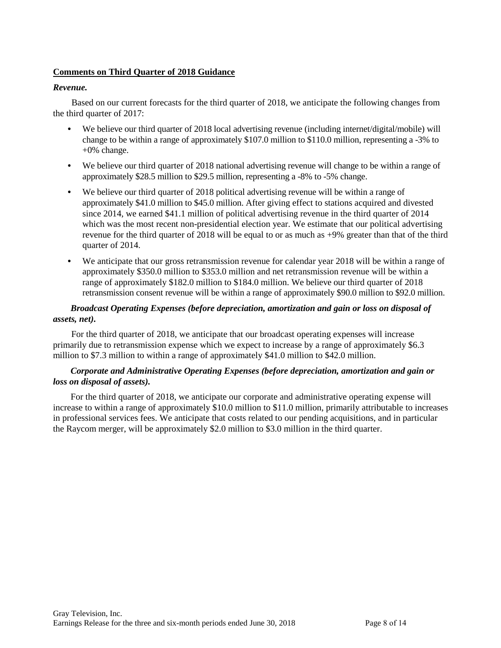## **Comments on Third Quarter of 2018 Guidance**

## *Revenue.*

Based on our current forecasts for the third quarter of 2018, we anticipate the following changes from the third quarter of 2017:

- **•** We believe our third quarter of 2018 local advertising revenue (including internet/digital/mobile) will change to be within a range of approximately \$107.0 million to \$110.0 million, representing a -3% to +0% change.
- We believe our third quarter of 2018 national advertising revenue will change to be within a range of approximately \$28.5 million to \$29.5 million, representing a -8% to -5% change.
- **•** We believe our third quarter of 2018 political advertising revenue will be within a range of approximately \$41.0 million to \$45.0 million. After giving effect to stations acquired and divested since 2014, we earned \$41.1 million of political advertising revenue in the third quarter of 2014 which was the most recent non-presidential election year. We estimate that our political advertising revenue for the third quarter of 2018 will be equal to or as much as +9% greater than that of the third quarter of 2014.
- We anticipate that our gross retransmission revenue for calendar year 2018 will be within a range of approximately \$350.0 million to \$353.0 million and net retransmission revenue will be within a range of approximately \$182.0 million to \$184.0 million. We believe our third quarter of 2018 retransmission consent revenue will be within a range of approximately \$90.0 million to \$92.0 million.

# *Broadcast Operating Expenses (before depreciation, amortization and gain or loss on disposal of assets, net).*

For the third quarter of 2018, we anticipate that our broadcast operating expenses will increase primarily due to retransmission expense which we expect to increase by a range of approximately \$6.3 million to \$7.3 million to within a range of approximately \$41.0 million to \$42.0 million.

## *Corporate and Administrative Operating Expenses (before depreciation, amortization and gain or loss on disposal of assets).*

For the third quarter of 2018, we anticipate our corporate and administrative operating expense will increase to within a range of approximately \$10.0 million to \$11.0 million, primarily attributable to increases in professional services fees. We anticipate that costs related to our pending acquisitions, and in particular the Raycom merger, will be approximately \$2.0 million to \$3.0 million in the third quarter.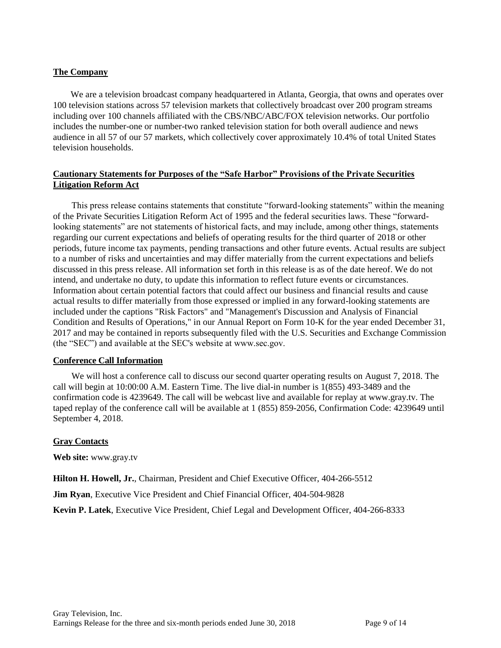## **The Company**

We are a television broadcast company headquartered in Atlanta, Georgia, that owns and operates over 100 television stations across 57 television markets that collectively broadcast over 200 program streams including over 100 channels affiliated with the CBS/NBC/ABC/FOX television networks. Our portfolio includes the number-one or number-two ranked television station for both overall audience and news audience in all 57 of our 57 markets, which collectively cover approximately 10.4% of total United States television households.

## **Cautionary Statements for Purposes of the "Safe Harbor" Provisions of the Private Securities Litigation Reform Act**

This press release contains statements that constitute "forward-looking statements" within the meaning of the Private Securities Litigation Reform Act of 1995 and the federal securities laws. These "forwardlooking statements" are not statements of historical facts, and may include, among other things, statements regarding our current expectations and beliefs of operating results for the third quarter of 2018 or other periods, future income tax payments, pending transactions and other future events. Actual results are subject to a number of risks and uncertainties and may differ materially from the current expectations and beliefs discussed in this press release. All information set forth in this release is as of the date hereof. We do not intend, and undertake no duty, to update this information to reflect future events or circumstances. Information about certain potential factors that could affect our business and financial results and cause actual results to differ materially from those expressed or implied in any forward-looking statements are included under the captions "Risk Factors" and "Management's Discussion and Analysis of Financial Condition and Results of Operations," in our Annual Report on Form 10-K for the year ended December 31, 2017 and may be contained in reports subsequently filed with the U.S. Securities and Exchange Commission (the "SEC") and available at the SEC's website at www.sec.gov.

## **Conference Call Information**

We will host a conference call to discuss our second quarter operating results on August 7, 2018. The call will begin at 10:00:00 A.M. Eastern Time. The live dial-in number is 1(855) 493-3489 and the confirmation code is 4239649. The call will be webcast live and available for replay at www.gray.tv. The taped replay of the conference call will be available at 1 (855) 859-2056, Confirmation Code: 4239649 until September 4, 2018.

# **Gray Contacts**

**Web site:** www.gray.tv

**Hilton H. Howell, Jr.**, Chairman, President and Chief Executive Officer, 404-266-5512

**Jim Ryan**, Executive Vice President and Chief Financial Officer, 404-504-9828

**Kevin P. Latek**, Executive Vice President, Chief Legal and Development Officer, 404-266-8333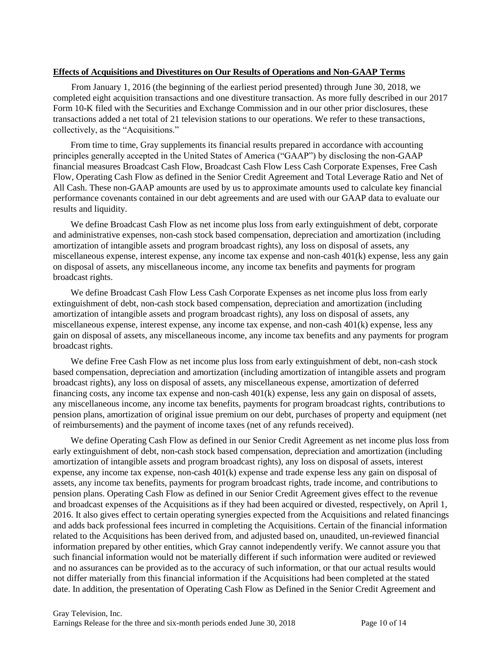### **Effects of Acquisitions and Divestitures on Our Results of Operations and Non-GAAP Terms**

From January 1, 2016 (the beginning of the earliest period presented) through June 30, 2018, we completed eight acquisition transactions and one divestiture transaction. As more fully described in our 2017 Form 10-K filed with the Securities and Exchange Commission and in our other prior disclosures, these transactions added a net total of 21 television stations to our operations. We refer to these transactions, collectively, as the "Acquisitions."

From time to time, Gray supplements its financial results prepared in accordance with accounting principles generally accepted in the United States of America ("GAAP") by disclosing the non-GAAP financial measures Broadcast Cash Flow, Broadcast Cash Flow Less Cash Corporate Expenses, Free Cash Flow, Operating Cash Flow as defined in the Senior Credit Agreement and Total Leverage Ratio and Net of All Cash. These non-GAAP amounts are used by us to approximate amounts used to calculate key financial performance covenants contained in our debt agreements and are used with our GAAP data to evaluate our results and liquidity.

We define Broadcast Cash Flow as net income plus loss from early extinguishment of debt, corporate and administrative expenses, non-cash stock based compensation, depreciation and amortization (including amortization of intangible assets and program broadcast rights), any loss on disposal of assets, any miscellaneous expense, interest expense, any income tax expense and non-cash 401(k) expense, less any gain on disposal of assets, any miscellaneous income, any income tax benefits and payments for program broadcast rights.

We define Broadcast Cash Flow Less Cash Corporate Expenses as net income plus loss from early extinguishment of debt, non-cash stock based compensation, depreciation and amortization (including amortization of intangible assets and program broadcast rights), any loss on disposal of assets, any miscellaneous expense, interest expense, any income tax expense, and non-cash 401(k) expense, less any gain on disposal of assets, any miscellaneous income, any income tax benefits and any payments for program broadcast rights.

We define Free Cash Flow as net income plus loss from early extinguishment of debt, non-cash stock based compensation, depreciation and amortization (including amortization of intangible assets and program broadcast rights), any loss on disposal of assets, any miscellaneous expense, amortization of deferred financing costs, any income tax expense and non-cash 401(k) expense, less any gain on disposal of assets, any miscellaneous income, any income tax benefits, payments for program broadcast rights, contributions to pension plans, amortization of original issue premium on our debt, purchases of property and equipment (net of reimbursements) and the payment of income taxes (net of any refunds received).

We define Operating Cash Flow as defined in our Senior Credit Agreement as net income plus loss from early extinguishment of debt, non-cash stock based compensation, depreciation and amortization (including amortization of intangible assets and program broadcast rights), any loss on disposal of assets, interest expense, any income tax expense, non-cash 401(k) expense and trade expense less any gain on disposal of assets, any income tax benefits, payments for program broadcast rights, trade income, and contributions to pension plans. Operating Cash Flow as defined in our Senior Credit Agreement gives effect to the revenue and broadcast expenses of the Acquisitions as if they had been acquired or divested, respectively, on April 1, 2016. It also gives effect to certain operating synergies expected from the Acquisitions and related financings and adds back professional fees incurred in completing the Acquisitions. Certain of the financial information related to the Acquisitions has been derived from, and adjusted based on, unaudited, un-reviewed financial information prepared by other entities, which Gray cannot independently verify. We cannot assure you that such financial information would not be materially different if such information were audited or reviewed and no assurances can be provided as to the accuracy of such information, or that our actual results would not differ materially from this financial information if the Acquisitions had been completed at the stated date. In addition, the presentation of Operating Cash Flow as Defined in the Senior Credit Agreement and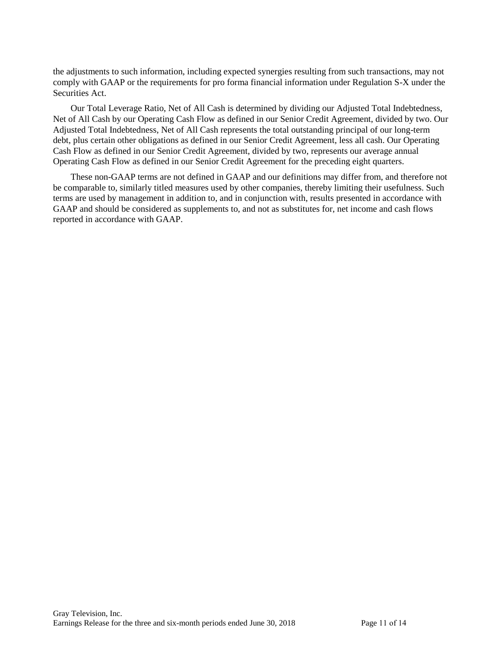the adjustments to such information, including expected synergies resulting from such transactions, may not comply with GAAP or the requirements for pro forma financial information under Regulation S-X under the Securities Act.

Our Total Leverage Ratio, Net of All Cash is determined by dividing our Adjusted Total Indebtedness, Net of All Cash by our Operating Cash Flow as defined in our Senior Credit Agreement, divided by two. Our Adjusted Total Indebtedness, Net of All Cash represents the total outstanding principal of our long-term debt, plus certain other obligations as defined in our Senior Credit Agreement, less all cash. Our Operating Cash Flow as defined in our Senior Credit Agreement, divided by two, represents our average annual Operating Cash Flow as defined in our Senior Credit Agreement for the preceding eight quarters.

These non-GAAP terms are not defined in GAAP and our definitions may differ from, and therefore not be comparable to, similarly titled measures used by other companies, thereby limiting their usefulness. Such terms are used by management in addition to, and in conjunction with, results presented in accordance with GAAP and should be considered as supplements to, and not as substitutes for, net income and cash flows reported in accordance with GAAP.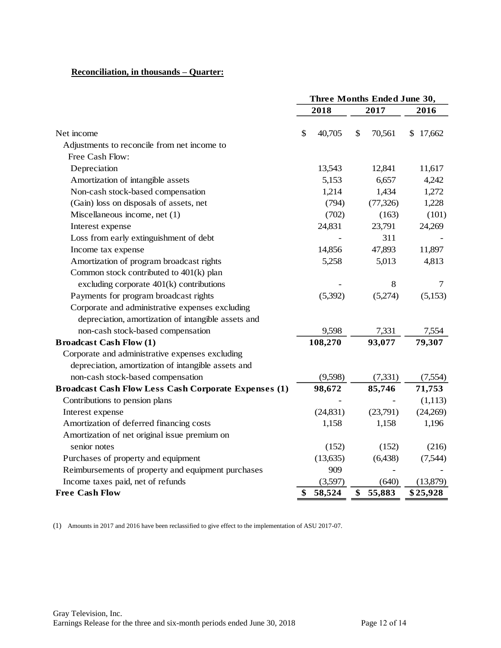## **Reconciliation, in thousands – Quarter:**

|                                                             | Three Months Ended June 30, |           |    |           |          |
|-------------------------------------------------------------|-----------------------------|-----------|----|-----------|----------|
|                                                             | 2018                        |           |    | 2017      | 2016     |
| Net income                                                  | \$                          | 40,705    | \$ | 70,561    | \$17,662 |
| Adjustments to reconcile from net income to                 |                             |           |    |           |          |
| Free Cash Flow:                                             |                             |           |    |           |          |
| Depreciation                                                |                             | 13,543    |    | 12,841    | 11,617   |
| Amortization of intangible assets                           |                             | 5,153     |    | 6,657     | 4,242    |
| Non-cash stock-based compensation                           |                             | 1,214     |    | 1,434     | 1,272    |
| (Gain) loss on disposals of assets, net                     |                             | (794)     |    | (77, 326) | 1,228    |
| Miscellaneous income, net (1)                               |                             | (702)     |    | (163)     | (101)    |
| Interest expense                                            |                             | 24,831    |    | 23,791    | 24,269   |
| Loss from early extinguishment of debt                      |                             |           |    | 311       |          |
| Income tax expense                                          |                             | 14,856    |    | 47,893    | 11,897   |
| Amortization of program broadcast rights                    |                             | 5,258     |    | 5,013     | 4,813    |
| Common stock contributed to 401(k) plan                     |                             |           |    |           |          |
| excluding corporate $401(k)$ contributions                  |                             |           |    | 8         | 7        |
| Payments for program broadcast rights                       |                             | (5,392)   |    | (5,274)   | (5,153)  |
| Corporate and administrative expenses excluding             |                             |           |    |           |          |
| depreciation, amortization of intangible assets and         |                             |           |    |           |          |
| non-cash stock-based compensation                           |                             | 9,598     |    | 7,331     | 7,554    |
| <b>Broadcast Cash Flow (1)</b>                              |                             | 108,270   |    | 93,077    | 79,307   |
| Corporate and administrative expenses excluding             |                             |           |    |           |          |
| depreciation, amortization of intangible assets and         |                             |           |    |           |          |
| non-cash stock-based compensation                           |                             | (9,598)   |    | (7,331)   | (7,554)  |
| <b>Broadcast Cash Flow Less Cash Corporate Expenses (1)</b> |                             | 98,672    |    | 85,746    | 71,753   |
| Contributions to pension plans                              |                             |           |    |           | (1,113)  |
| Interest expense                                            |                             | (24, 831) |    | (23,791)  | (24,269) |
| Amortization of deferred financing costs                    |                             | 1,158     |    | 1,158     | 1,196    |
| Amortization of net original issue premium on               |                             |           |    |           |          |
| senior notes                                                |                             | (152)     |    | (152)     | (216)    |
| Purchases of property and equipment                         |                             | (13, 635) |    | (6, 438)  | (7,544)  |
| Reimbursements of property and equipment purchases          |                             | 909       |    |           |          |
| Income taxes paid, net of refunds                           |                             | (3,597)   |    | (640)     | (13,879) |
| <b>Free Cash Flow</b>                                       |                             | 58,524    | \$ | 55,883    | \$25,928 |

(1) Amounts in 2017 and 2016 have been reclassified to give effect to the implementation of ASU 2017-07.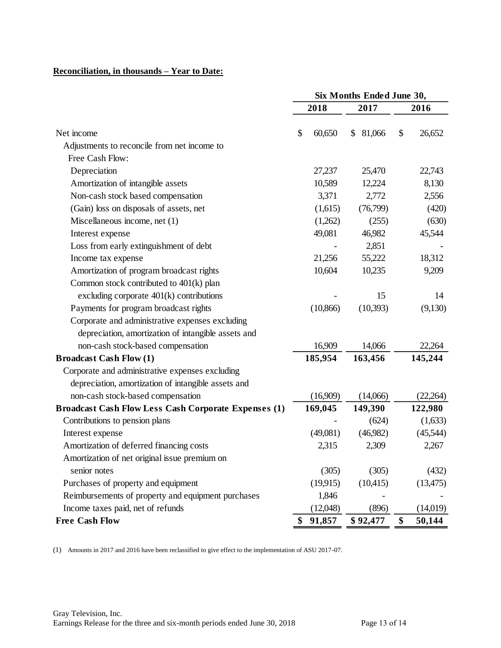# **Reconciliation, in thousands – Year to Date:**

|                                                             | Six Months Ended June 30, |              |              |  |
|-------------------------------------------------------------|---------------------------|--------------|--------------|--|
|                                                             | 2018                      | 2017         | 2016         |  |
| Net income                                                  | \$<br>60,650              | 81,066<br>\$ | \$<br>26,652 |  |
| Adjustments to reconcile from net income to                 |                           |              |              |  |
| Free Cash Flow:                                             |                           |              |              |  |
| Depreciation                                                | 27,237                    | 25,470       | 22,743       |  |
| Amortization of intangible assets                           | 10,589                    | 12,224       | 8,130        |  |
| Non-cash stock based compensation                           | 3,371                     | 2,772        | 2,556        |  |
| (Gain) loss on disposals of assets, net                     | (1,615)                   | (76,799)     | (420)        |  |
| Miscellaneous income, net (1)                               | (1,262)                   | (255)        | (630)        |  |
| Interest expense                                            | 49,081                    | 46,982       | 45,544       |  |
| Loss from early extinguishment of debt                      |                           | 2,851        |              |  |
| Income tax expense                                          | 21,256                    | 55,222       | 18,312       |  |
| Amortization of program broadcast rights                    | 10,604                    | 10,235       | 9,209        |  |
| Common stock contributed to 401(k) plan                     |                           |              |              |  |
| excluding corporate $401(k)$ contributions                  |                           | 15           | 14           |  |
| Payments for program broadcast rights                       | (10, 866)                 | (10, 393)    | (9,130)      |  |
| Corporate and administrative expenses excluding             |                           |              |              |  |
| depreciation, amortization of intangible assets and         |                           |              |              |  |
| non-cash stock-based compensation                           | 16,909                    | 14,066       | 22,264       |  |
| <b>Broadcast Cash Flow (1)</b>                              | 185,954                   | 163,456      | 145,244      |  |
| Corporate and administrative expenses excluding             |                           |              |              |  |
| depreciation, amortization of intangible assets and         |                           |              |              |  |
| non-cash stock-based compensation                           | (16,909)                  | (14,066)     | (22,264)     |  |
| <b>Broadcast Cash Flow Less Cash Corporate Expenses (1)</b> | 169,045                   | 149,390      | 122,980      |  |
| Contributions to pension plans                              |                           | (624)        | (1,633)      |  |
| Interest expense                                            | (49,081)                  | (46,982)     | (45,544)     |  |
| Amortization of deferred financing costs                    | 2,315                     | 2,309        | 2,267        |  |
| Amortization of net original issue premium on               |                           |              |              |  |
| senior notes                                                | (305)                     | (305)        | (432)        |  |
| Purchases of property and equipment                         | (19,915)                  | (10, 415)    | (13, 475)    |  |
| Reimbursements of property and equipment purchases          | 1,846                     |              |              |  |
| Income taxes paid, net of refunds                           | (12,048)                  | (896)        | (14,019)     |  |
| <b>Free Cash Flow</b>                                       | \$<br>91,857              | \$92,477     | \$<br>50,144 |  |

(1) Amounts in 2017 and 2016 have been reclassified to give effect to the implementation of ASU 2017-07.